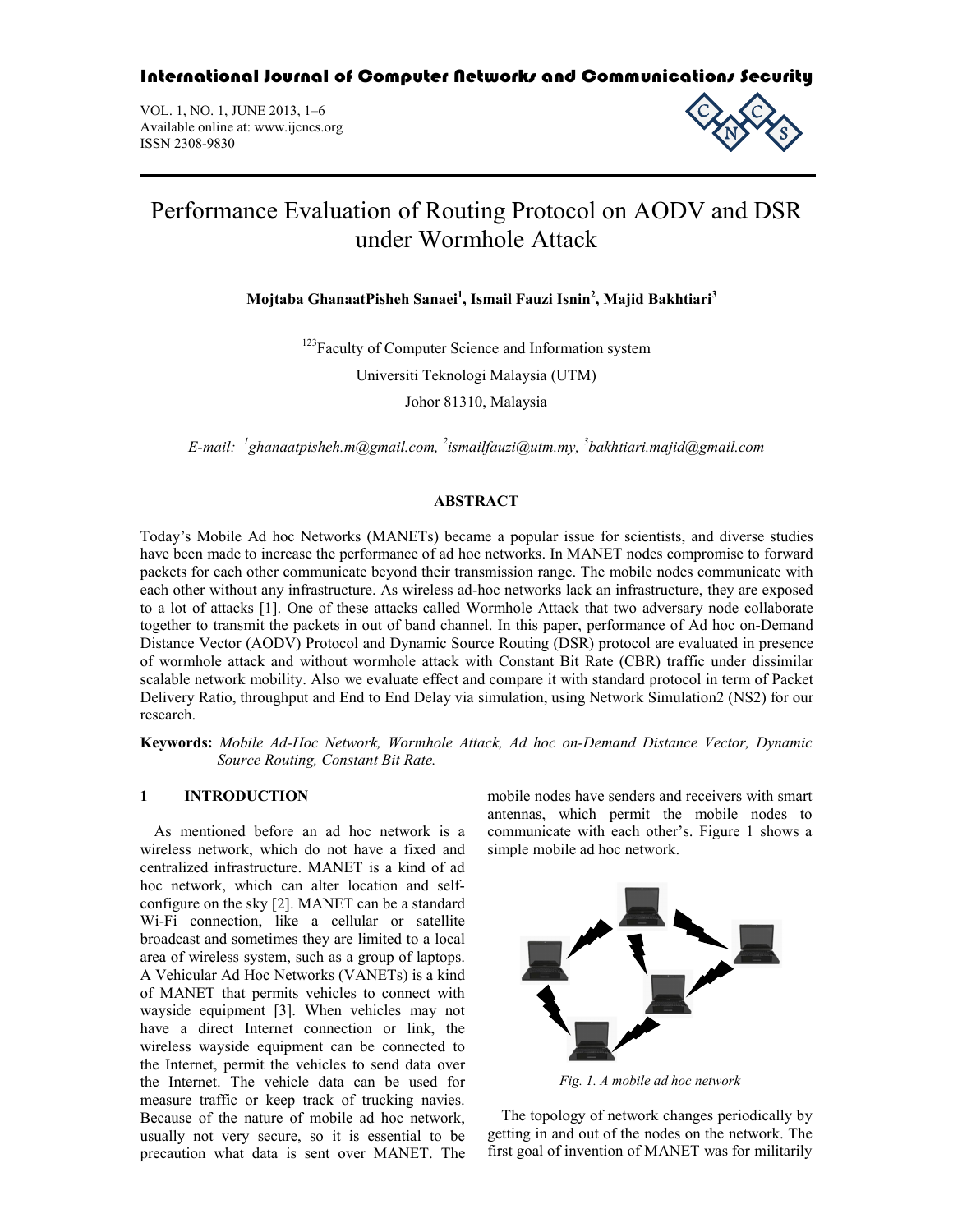International Journal of Computer Networks and Communications Security

VOL. 1, NO. 1, JUNE 2013, 1–6 Available online at: www.ijcncs.org ISSN 2308-9830



# Performance Evaluation of Routing Protocol on AODV and DSR under Wormhole Attack

**Mojtaba GhanaatPisheh Sanaei<sup>1</sup> , Ismail Fauzi Isnin<sup>2</sup> , Majid Bakhtiari<sup>3</sup>**

<sup>123</sup>Faculty of Computer Science and Information system

Universiti Teknologi Malaysia (UTM)

Johor 81310, Malaysia

*E-mail: <sup>1</sup> ghanaatpisheh.m@gmail.com, <sup>2</sup> ismailfauzi@utm.my, <sup>3</sup> bakhtiari.majid@gmail.com*

## **ABSTRACT**

Today's Mobile Ad hoc Networks (MANETs) became a popular issue for scientists, and diverse studies have been made to increase the performance of ad hoc networks. In MANET nodes compromise to forward packets for each other communicate beyond their transmission range. The mobile nodes communicate with each other without any infrastructure. As wireless ad-hoc networks lack an infrastructure, they are exposed to a lot of attacks [1]. One of these attacks called Wormhole Attack that two adversary node collaborate together to transmit the packets in out of band channel. In this paper, performance of Ad hoc on-Demand Distance Vector (AODV) Protocol and Dynamic Source Routing (DSR) protocol are evaluated in presence of wormhole attack and without wormhole attack with Constant Bit Rate (CBR) traffic under dissimilar scalable network mobility. Also we evaluate effect and compare it with standard protocol in term of Packet Delivery Ratio, throughput and End to End Delay via simulation, using Network Simulation2 (NS2) for our research.

**Keywords:** *Mobile Ad-Hoc Network, Wormhole Attack, Ad hoc on-Demand Distance Vector, Dynamic Source Routing, Constant Bit Rate.*

# **1 INTRODUCTION**

As mentioned before an ad hoc network is a wireless network, which do not have a fixed and centralized infrastructure. MANET is a kind of ad hoc network, which can alter location and selfconfigure on the sky [2]. MANET can be a standard Wi-Fi connection, like a cellular or satellite broadcast and sometimes they are limited to a local area of wireless system, such as a group of laptops. A Vehicular Ad Hoc Networks (VANETs) is a kind of MANET that permits vehicles to connect with wayside equipment [3]. When vehicles may not have a direct Internet connection or link, the wireless wayside equipment can be connected to the Internet, permit the vehicles to send data over the Internet. The vehicle data can be used for measure traffic or keep track of trucking navies. Because of the nature of mobile ad hoc network, usually not very secure, so it is essential to be precaution what data is sent over MANET. The mobile nodes have senders and receivers with smart antennas, which permit the mobile nodes to communicate with each other's. Figure 1 shows a simple mobile ad hoc network.



*Fig. 1. A mobile ad hoc network*

The topology of network changes periodically by getting in and out of the nodes on the network. The first goal of invention of MANET was for militarily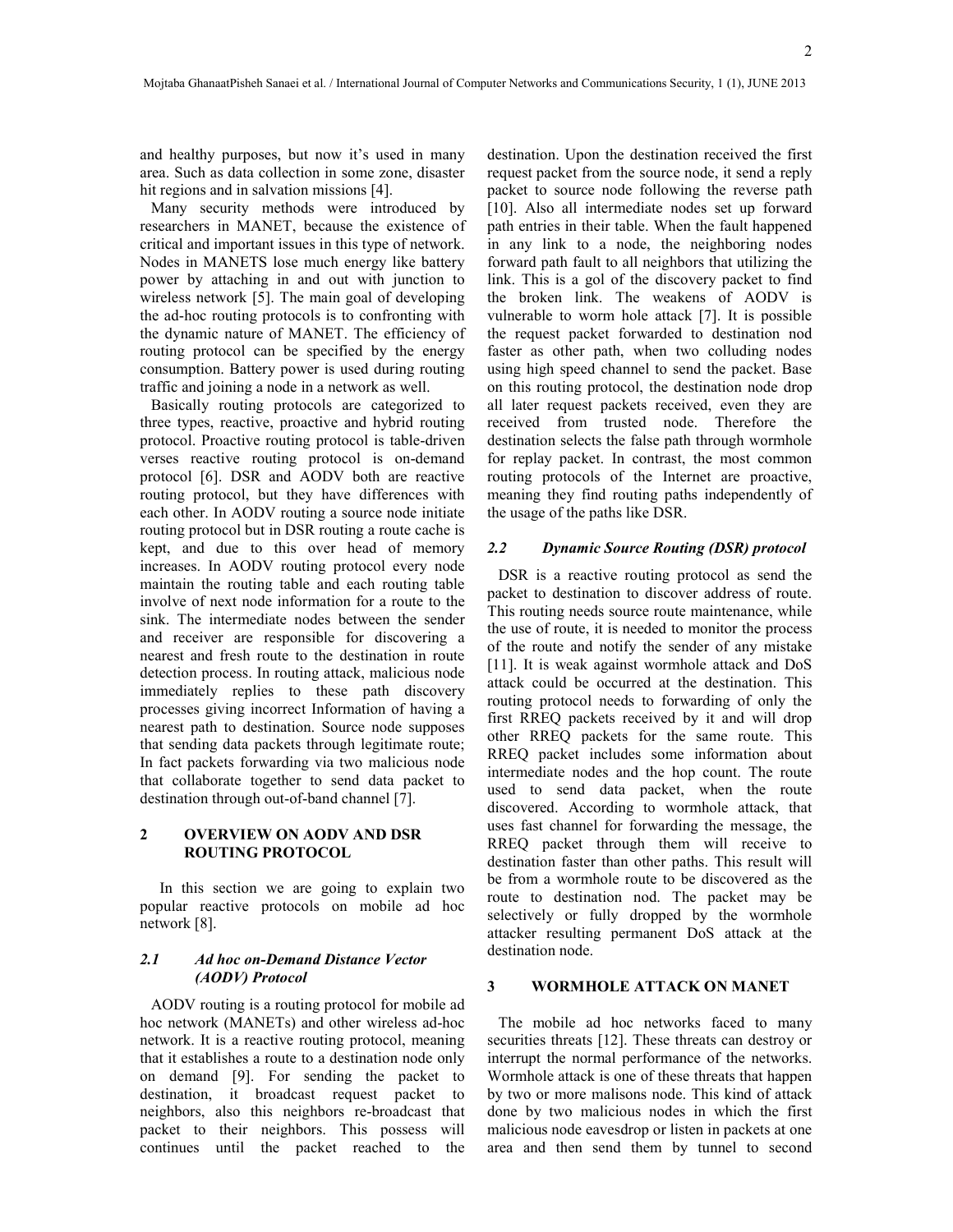2

and healthy purposes, but now it's used in many area. Such as data collection in some zone, disaster hit regions and in salvation missions [4].

Many security methods were introduced by researchers in MANET, because the existence of critical and important issues in this type of network. Nodes in MANETS lose much energy like battery power by attaching in and out with junction to wireless network [5]. The main goal of developing the ad-hoc routing protocols is to confronting with the dynamic nature of MANET. The efficiency of routing protocol can be specified by the energy consumption. Battery power is used during routing traffic and joining a node in a network as well.

Basically routing protocols are categorized to three types, reactive, proactive and hybrid routing protocol. Proactive routing protocol is table-driven verses reactive routing protocol is on-demand protocol [6]. DSR and AODV both are reactive routing protocol, but they have differences with each other. In AODV routing a source node initiate routing protocol but in DSR routing a route cache is kept, and due to this over head of memory increases. In AODV routing protocol every node maintain the routing table and each routing table involve of next node information for a route to the sink. The intermediate nodes between the sender and receiver are responsible for discovering a nearest and fresh route to the destination in route detection process. In routing attack, malicious node immediately replies to these path discovery processes giving incorrect Information of having a nearest path to destination. Source node supposes that sending data packets through legitimate route; In fact packets forwarding via two malicious node that collaborate together to send data packet to destination through out-of-band channel [7].

#### **2 OVERVIEW ON AODV AND DSR ROUTING PROTOCOL**

 In this section we are going to explain two popular reactive protocols on mobile ad hoc network [8].

# *2.1 Ad hoc on-Demand Distance Vector (AODV) Protocol*

AODV routing is a routing protocol for mobile ad hoc network (MANETs) and other wireless ad-hoc network. It is a reactive routing protocol, meaning that it establishes a route to a destination node only on demand [9]. For sending the packet to destination, it broadcast request packet to neighbors, also this neighbors re-broadcast that packet to their neighbors. This possess will continues until the packet reached to the destination. Upon the destination received the first request packet from the source node, it send a reply packet to source node following the reverse path [10]. Also all intermediate nodes set up forward path entries in their table. When the fault happened in any link to a node, the neighboring nodes forward path fault to all neighbors that utilizing the link. This is a gol of the discovery packet to find the broken link. The weakens of AODV is vulnerable to worm hole attack [7]. It is possible the request packet forwarded to destination nod faster as other path, when two colluding nodes using high speed channel to send the packet. Base on this routing protocol, the destination node drop all later request packets received, even they are received from trusted node. Therefore the destination selects the false path through wormhole for replay packet. In contrast, the most common routing protocols of the Internet are proactive, meaning they find routing paths independently of the usage of the paths like DSR.

#### *2.2 Dynamic Source Routing (DSR) protocol*

DSR is a reactive routing protocol as send the packet to destination to discover address of route. This routing needs source route maintenance, while the use of route, it is needed to monitor the process of the route and notify the sender of any mistake [11]. It is weak against wormhole attack and DoS attack could be occurred at the destination. This routing protocol needs to forwarding of only the first RREQ packets received by it and will drop other RREQ packets for the same route. This RREQ packet includes some information about intermediate nodes and the hop count. The route used to send data packet, when the route discovered. According to wormhole attack, that uses fast channel for forwarding the message, the RREQ packet through them will receive to destination faster than other paths. This result will be from a wormhole route to be discovered as the route to destination nod. The packet may be selectively or fully dropped by the wormhole attacker resulting permanent DoS attack at the destination node.

## **3 WORMHOLE ATTACK ON MANET**

The mobile ad hoc networks faced to many securities threats [12]. These threats can destroy or interrupt the normal performance of the networks. Wormhole attack is one of these threats that happen by two or more malisons node. This kind of attack done by two malicious nodes in which the first malicious node eavesdrop or listen in packets at one area and then send them by tunnel to second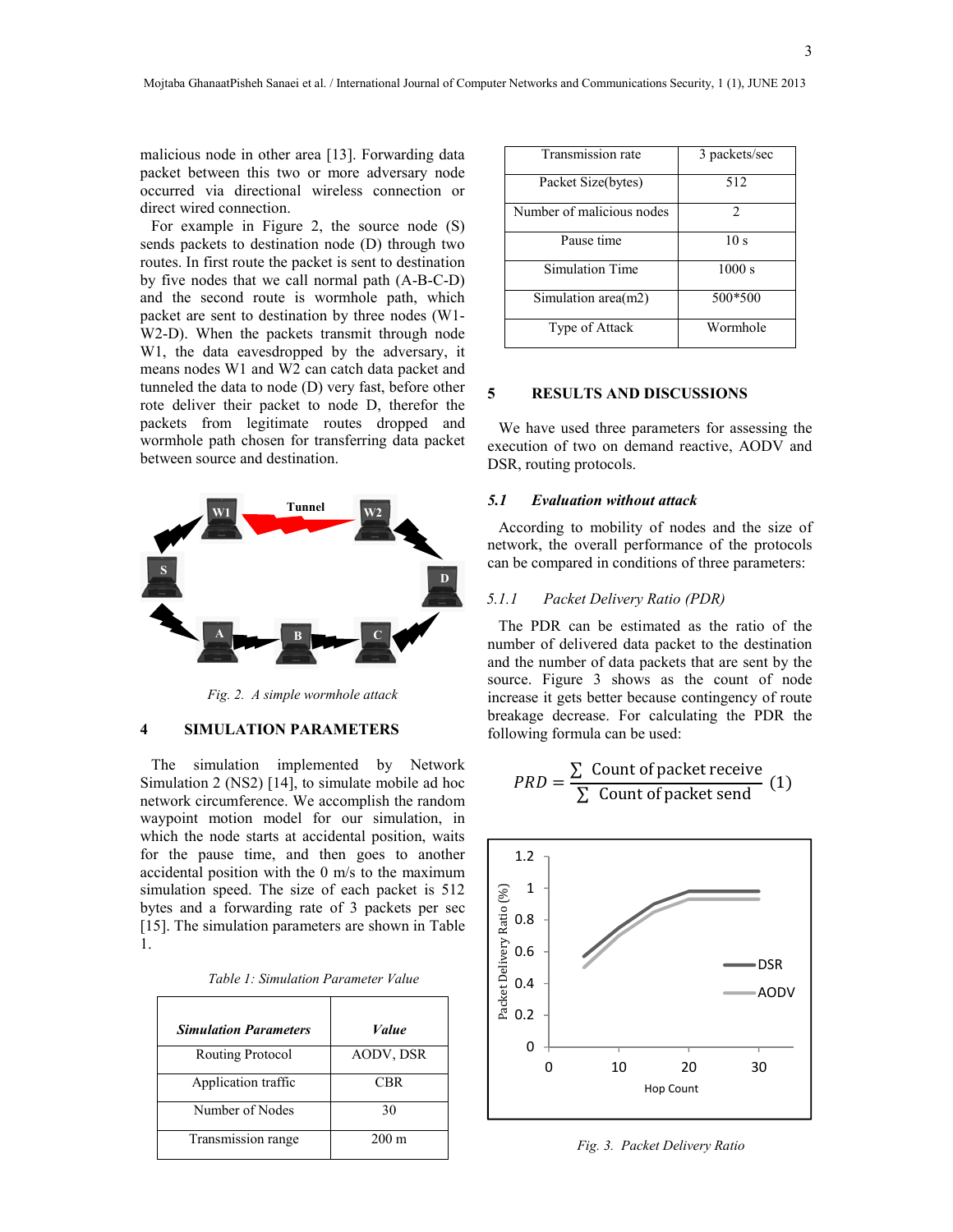malicious node in other area [13]. Forwarding data packet between this two or more adversary node occurred via directional wireless connection or direct wired connection.

For example in Figure 2, the source node (S) sends packets to destination node (D) through two routes. In first route the packet is sent to destination by five nodes that we call normal path (A-B-C-D) and the second route is wormhole path, which packet are sent to destination by three nodes (W1- W2-D). When the packets transmit through node W1, the data eavesdropped by the adversary, it means nodes W1 and W2 can catch data packet and tunneled the data to node (D) very fast, before other rote deliver their packet to node D, therefor the packets from legitimate routes dropped and wormhole path chosen for transferring data packet between source and destination.



*Fig. 2. A simple wormhole attack*

#### **4 SIMULATION PARAMETERS**

The simulation implemented by Network Simulation 2 (NS2) [14], to simulate mobile ad hoc network circumference. We accomplish the random waypoint motion model for our simulation, in which the node starts at accidental position, waits for the pause time, and then goes to another accidental position with the 0 m/s to the maximum simulation speed. The size of each packet is 512 bytes and a forwarding rate of 3 packets per sec [15]. The simulation parameters are shown in Table 1.

| <b>Simulation Parameters</b> | Value           |
|------------------------------|-----------------|
| Routing Protocol             | AODV, DSR       |
| Application traffic          | <b>CBR</b>      |
| Number of Nodes              | 30              |
| Transmission range           | $200 \text{ m}$ |

| Table 1: Simulation Parameter Value |  |
|-------------------------------------|--|
|                                     |  |

| Transmission rate         | 3 packets/sec               |
|---------------------------|-----------------------------|
| Packet Size(bytes)        | 512                         |
| Number of malicious nodes | $\mathcal{D}_{\mathcal{A}}$ |
| Pause time                | 10 <sub>s</sub>             |
| <b>Simulation Time</b>    | 1000 s                      |
| Simulation area(m2)       | 500*500                     |
| Type of Attack            | Wormhole                    |

### **5 RESULTS AND DISCUSSIONS**

We have used three parameters for assessing the execution of two on demand reactive, AODV and DSR, routing protocols.

#### *5.1 Evaluation without attack*

According to mobility of nodes and the size of network, the overall performance of the protocols can be compared in conditions of three parameters:

## *5.1.1 Packet Delivery Ratio (PDR)*

The PDR can be estimated as the ratio of the number of delivered data packet to the destination and the number of data packets that are sent by the source. Figure 3 shows as the count of node increase it gets better because contingency of route breakage decrease. For calculating the PDR the following formula can be used:

$$
PRD = \frac{\sum \text{ Count of packet receive}}{\sum \text{ Count of packet send}} (1)
$$



*Fig. 3. Packet Delivery Ratio*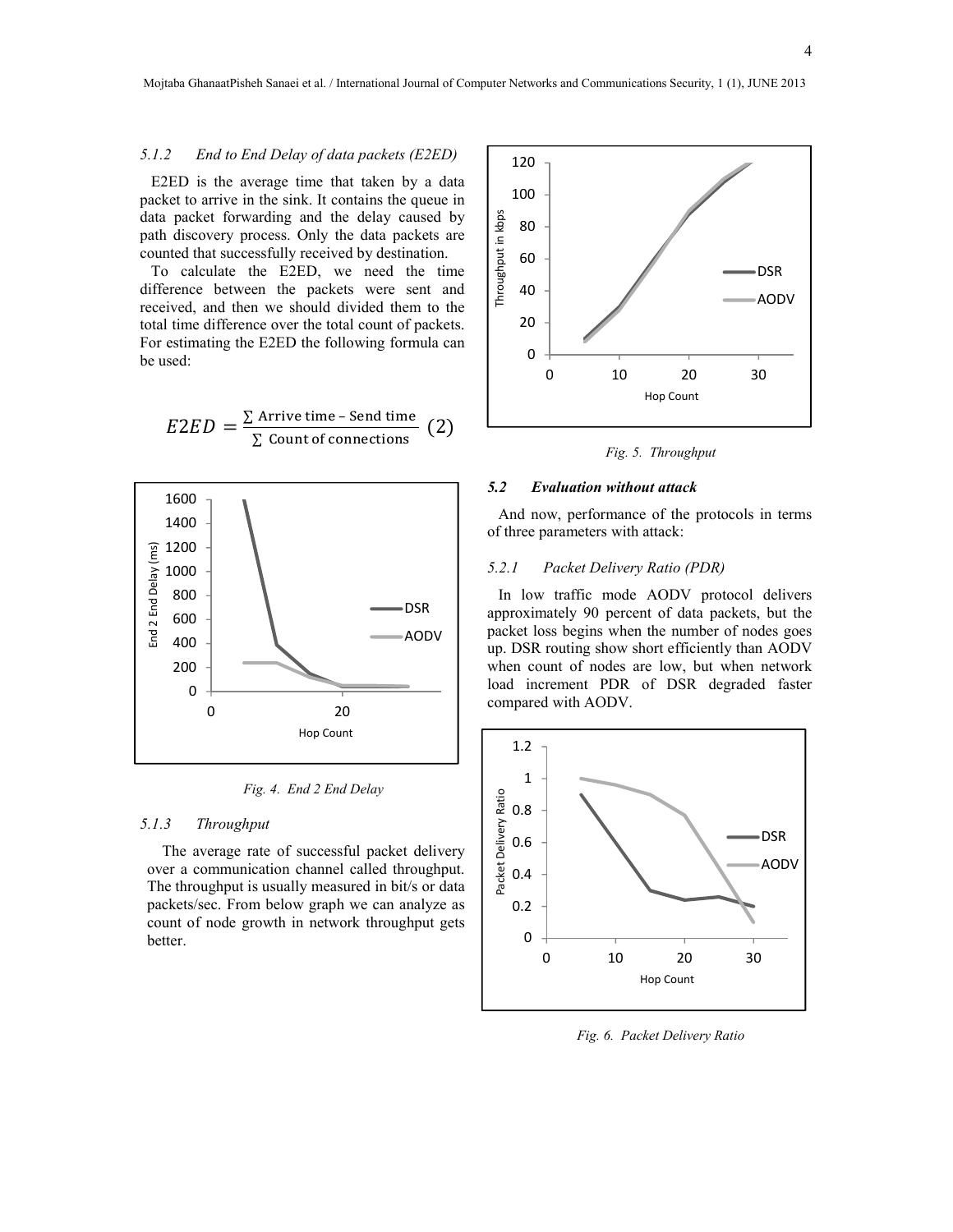# *5.1.2 End to End Delay of data packets (E2ED)*

E2ED is the average time that taken by a data packet to arrive in the sink. It contains the queue in data packet forwarding and the delay caused by path discovery process. Only the data packets are counted that successfully received by destination.

To calculate the E2ED, we need the time difference between the packets were sent and received, and then we should divided them to the total time difference over the total count of packets. For estimating the E2ED the following formula can be used:

$$
E2ED = \frac{\sum \text{Arrive time - Send time}}{\sum \text{Count of connections}} (2)
$$



*Fig. 4. End 2 End Delay*

# *5.1.3 Throughput*

The average rate of successful packet delivery over a communication channel called throughput. The throughput is usually measured in bit/s or data packets/sec. From below graph we can analyze as count of node growth in network throughput gets better.



*Fig. 5. Throughput*

#### *5.2 Evaluation without attack*

And now, performance of the protocols in terms of three parameters with attack:

## *5.2.1 Packet Delivery Ratio (PDR)*

In low traffic mode AODV protocol delivers approximately 90 percent of data packets, but the packet loss begins when the number of nodes goes up. DSR routing show short efficiently than AODV when count of nodes are low, but when network load increment PDR of DSR degraded faster compared with AODV.



*Fig. 6. Packet Delivery Ratio*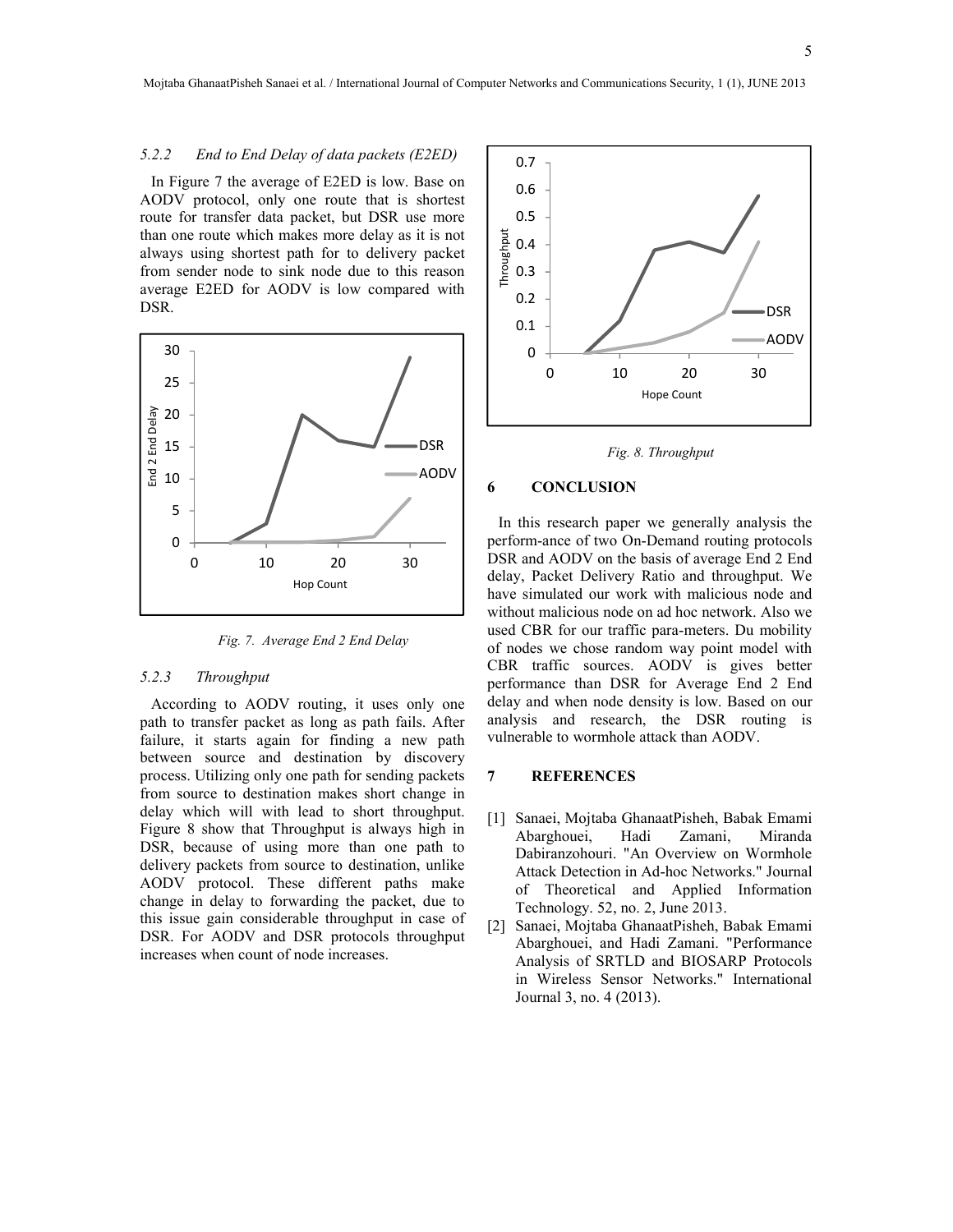#### *5.2.2 End to End Delay of data packets (E2ED)*

In Figure 7 the average of E2ED is low. Base on AODV protocol, only one route that is shortest route for transfer data packet, but DSR use more than one route which makes more delay as it is not always using shortest path for to delivery packet from sender node to sink node due to this reason average E2ED for AODV is low compared with DSR.



*Fig. 7. Average End 2 End Delay*

#### *5.2.3 Throughput*

According to AODV routing, it uses only one path to transfer packet as long as path fails. After failure, it starts again for finding a new path between source and destination by discovery process. Utilizing only one path for sending packets from source to destination makes short change in delay which will with lead to short throughput. Figure 8 show that Throughput is always high in DSR, because of using more than one path to delivery packets from source to destination, unlike AODV protocol. These different paths make change in delay to forwarding the packet, due to this issue gain considerable throughput in case of DSR. For AODV and DSR protocols throughput increases when count of node increases.



*Fig. 8. Throughput*

## **6 CONCLUSION**

In this research paper we generally analysis the perform-ance of two On-Demand routing protocols DSR and AODV on the basis of average End 2 End delay, Packet Delivery Ratio and throughput. We have simulated our work with malicious node and without malicious node on ad hoc network. Also we used CBR for our traffic para-meters. Du mobility of nodes we chose random way point model with CBR traffic sources. AODV is gives better performance than DSR for Average End 2 End delay and when node density is low. Based on our analysis and research, the DSR routing is vulnerable to wormhole attack than AODV.

#### **7 REFERENCES**

- [1] Sanaei, Mojtaba GhanaatPisheh, Babak Emami Abarghouei, Hadi Zamani, Miranda Dabiranzohouri. "An Overview on Wormhole Attack Detection in Ad-hoc Networks." Journal of Theoretical and Applied Information Technology. 52, no. 2, June 2013.
- [2] Sanaei, Mojtaba GhanaatPisheh, Babak Emami Abarghouei, and Hadi Zamani. "Performance Analysis of SRTLD and BIOSARP Protocols in Wireless Sensor Networks." International Journal 3, no. 4 (2013).